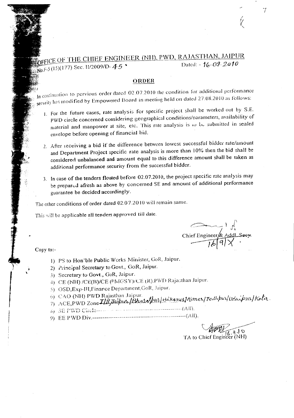## OFFICE OF THE CHIEF ENGINEER (NII), PWD, RAJASTHAN, JAIPUR Dated: - 16.09 2010 No. F-5 (15)(177) Sec. 11/2009/D-45

## ORDER

In continuation to pervious order dated  $02.07.2010$  the condition for additional performance security has modified by Empowered Board in meeting held on dated 27:08.2010 as follows:

- 1. For the future cases, rate analysis for specific project shall be worked out by S.E. PWD circle concerned considering geographical conditions/parameters, availability of material and manpower at site, etc. This rate analysis is to be submitted in sealed envelope before opening of financial bid.
- 2. After receiving a bid if the difference between lowest successful bidder rate/amount and Department Project specific rate analysis is more than 10% then the bid shall be considered unbalanced and amount equal to this difference amount shall be taken as additional performance security from the successful bidder.
- 3. In case of the tenders floated before 02.07.2010, the project specific rate analysis may be prepared afresh as above by concerned SE and amount of additional performance guarantee be decided accordingly.

The other conditions of order dated 02.07.2010 will remain same.

This will be applicable all tenders approved till date.

Chief Engineer & Addl Seey.

7

Copy to:-

- 1) PS to Hon'ble Public Works Minister, GoR, Jaipur.
- 2) Principal Secretary to Govt., GoR, Jaipur.
- 3) Secretary to Govt., GoR, Jaipur.
- 4) CE (NH) /CE(B)/CE (PMGSY)/CE (R).PWD Rajasthan Jaipur.
- 5) OSD, Exp-III, Finance Department, GoR, Jaipur.
- 6) CAO (NH) PWD Rajasthan Jaipur.
- 7) ACE, PWD Zone III, Faipur / Bhurn pur / Bikanes / Homer / Tout pur/idaipur / Kata.
- 
- 

TA to Chief Engineer (NH)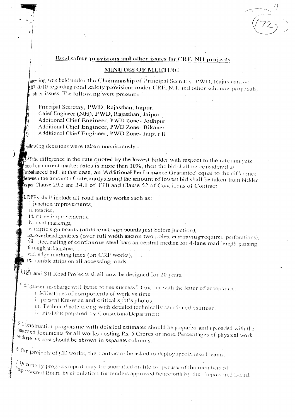## Road safety provisions and other issues for CRF, NH projects

## **MINUTES OF MEETING**

meeting was held under the Chairmanship of Principal Secretay, PWD, Rajasthan, on 07.2010 regarding road safety provisions under CRF, NH, and other schemes proposals, d other issues. The following were present:

Principal Secretay, PWD, Rajasthan, Jaipur. Chief Engineer (NH), PWD, Rajasthan, Jaipur. Additional Chief Engineer, PWD Zone- Jodhpur. Additional Chief Engineer, PWD Zone- Bikaner. Additional Chief Engineer, PWD Zone- Jaipur II

Following decisions were taken unanimously:-

Af the difference in the rate quoted by the lowest bidder with respect to the rate analysis based on current market rates is more than 10%, then the bid shall be considered as unbalanced bid', in that case, an 'Additional Performance Guarantee' equal to the difference between the amount of rate analysis and the amount of lowest bid shall be taken from bidder asper Clause 29.5 and 34.1 of ITB and Clause 52 of Conditions of Contract.

2. DPRs shall include all road safety works such as:

i. junction improvements,

ii. rotaries.

iii. curve improvements,

iv. road markings,

v. traffic sign boards (additional sign boards just before junction),

Vi\_overhead gentries (over full width and on two poles, and having required perforations), vii. Steel railing of continuous steel bars on central median for 4-lane road length passing through urban area.

viii. edge marking lines (on CRF works),

ix. rumble strips on all accessing roads.

 $3.$   $\frac{1}{24}$  and SH Road Projects shall now be designed for 20 years.

4. Engineer-in-charge will issue to the successful bidder with the letter of acceptance:

i. Milestones of components of work vs time

ii. present Km-wise and critical spot's photos,

iii. Technical note along with detailed technically sanctioned estimate.

iv. FR/DPR prepared by Consultant/Department.

 $\frac{5}{2}$  Construction programme with detailed estimates should be prepared and uploaded with the contract documents for all works costing Rs. 5 Crores or more. Percentages of physical work vstime vs cost should be shown in separate columns.

 $6.$  For projects of CD works, the contractor be asked to deploy specialiesed teams.

 $\frac{2}{\pi}$  Quarterly progress report may be submitted on file for perusal of the members of Empowered Board by circulation for tenders approved henceforth by the Empowered Board.